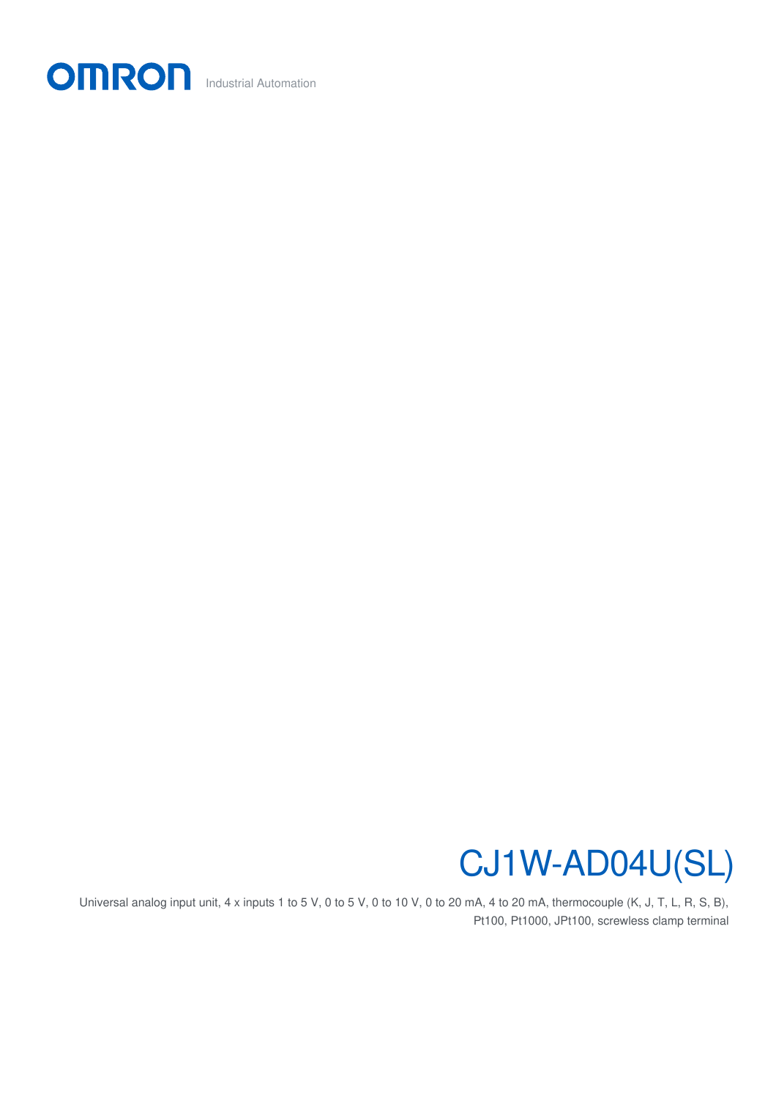

## CJ1W-AD04U(SL)

Universal analog input unit, 4 x inputs 1 to 5 V, 0 to 5 V, 0 to 10 V, 0 to 20 mA, 4 to 20 mA, thermocouple (K, J, T, L, R, S, B), Pt100, Pt1000, JPt100, screwless clamp terminal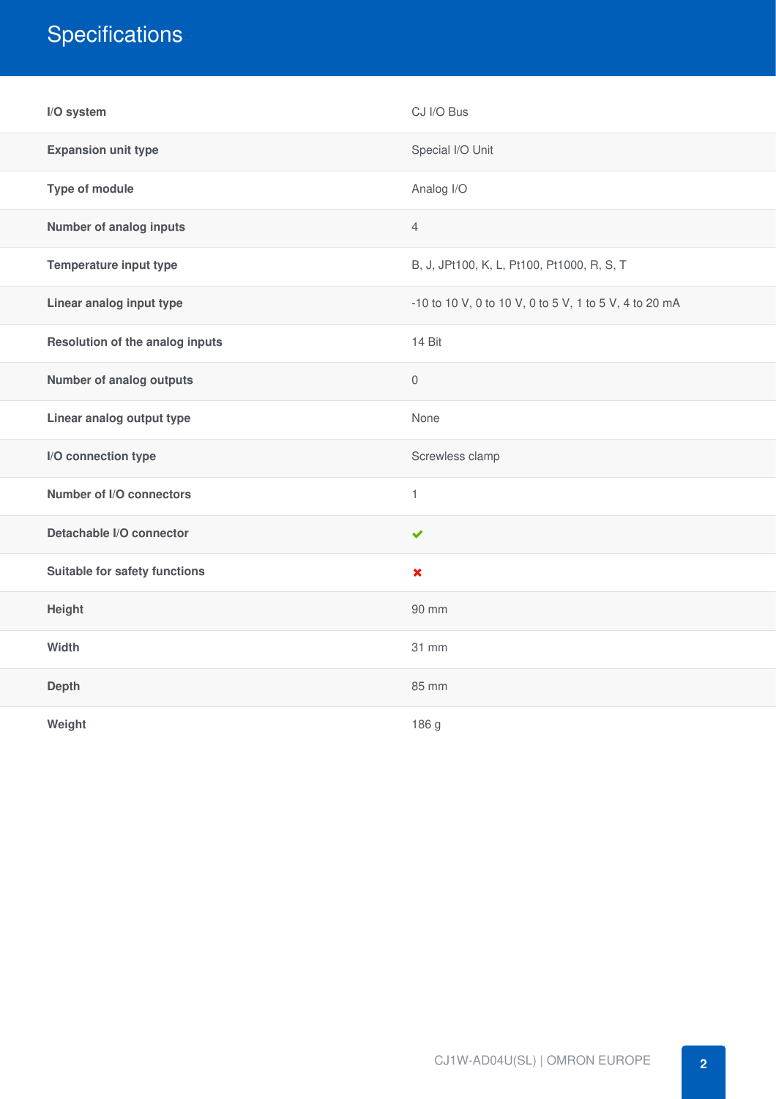## **Specifications**

| I/O system                      | CJ I/O Bus                                             |
|---------------------------------|--------------------------------------------------------|
| <b>Expansion unit type</b>      | Special I/O Unit                                       |
| Type of module                  | Analog I/O                                             |
| Number of analog inputs         | $\overline{4}$                                         |
| Temperature input type          | B, J, JPt100, K, L, Pt100, Pt1000, R, S, T             |
| Linear analog input type        | -10 to 10 V, 0 to 10 V, 0 to 5 V, 1 to 5 V, 4 to 20 mA |
| Resolution of the analog inputs | 14 Bit                                                 |
| <b>Number of analog outputs</b> | $\mathsf{O}\xspace$                                    |
| Linear analog output type       | None                                                   |
| I/O connection type             | Screwless clamp                                        |
| Number of I/O connectors        | $\mathbf{1}$                                           |
| Detachable I/O connector        | $\checkmark$                                           |
| Suitable for safety functions   | $\pmb{\times}$                                         |
| Height                          | 90 mm                                                  |
| Width                           | 31 mm                                                  |
| <b>Depth</b>                    | 85 mm                                                  |
| Weight                          | 186 g                                                  |